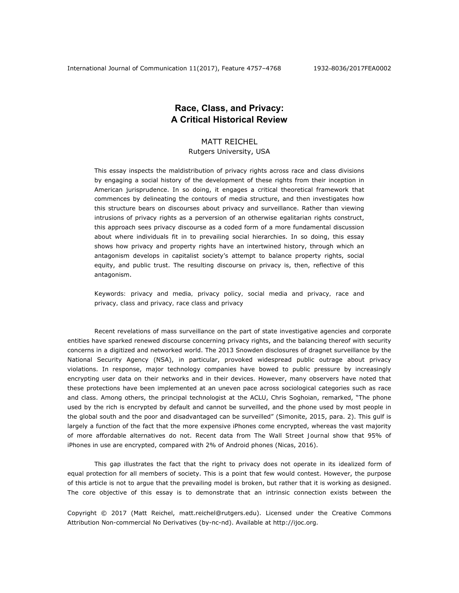# **Race, Class, and Privacy: A Critical Historical Review**

# MATT REICHEL Rutgers University, USA

This essay inspects the maldistribution of privacy rights across race and class divisions by engaging a social history of the development of these rights from their inception in American jurisprudence. In so doing, it engages a critical theoretical framework that commences by delineating the contours of media structure, and then investigates how this structure bears on discourses about privacy and surveillance. Rather than viewing intrusions of privacy rights as a perversion of an otherwise egalitarian rights construct, this approach sees privacy discourse as a coded form of a more fundamental discussion about where individuals fit in to prevailing social hierarchies. In so doing, this essay shows how privacy and property rights have an intertwined history, through which an antagonism develops in capitalist society's attempt to balance property rights, social equity, and public trust. The resulting discourse on privacy is, then, reflective of this antagonism.

*Keywords: privacy and media, privacy policy, social media and privacy, race and privacy, class and privacy, race class and privacy* 

Recent revelations of mass surveillance on the part of state investigative agencies and corporate entities have sparked renewed discourse concerning privacy rights, and the balancing thereof with security concerns in a digitized and networked world. The 2013 Snowden disclosures of dragnet surveillance by the National Security Agency (NSA), in particular, provoked widespread public outrage about privacy violations. In response, major technology companies have bowed to public pressure by increasingly encrypting user data on their networks and in their devices. However, many observers have noted that these protections have been implemented at an uneven pace across sociological categories such as race and class. Among others, the principal technologist at the ACLU, Chris Soghoian, remarked, "The phone used by the rich is encrypted by default and cannot be surveilled, and the phone used by most people in the global south and the poor and disadvantaged can be surveilled" (Simonite, 2015, para. 2). This gulf is largely a function of the fact that the more expensive iPhones come encrypted, whereas the vast majority of more affordable alternatives do not. Recent data from *The Wall Street Journal* show that 95% of iPhones in use are encrypted, compared with 2% of Android phones (Nicas, 2016).

This gap illustrates the fact that the right to privacy does not operate in its idealized form of equal protection for all members of society. This is a point that few would contest. However, the purpose of this article is not to argue that the prevailing model is broken, but rather that it is working as designed. The core objective of this essay is to demonstrate that an intrinsic connection exists between the

Copyright © 2017 (Matt Reichel, matt.reichel@rutgers.edu). Licensed under the Creative Commons Attribution Non-commercial No Derivatives (by-nc-nd). Available at http://ijoc.org.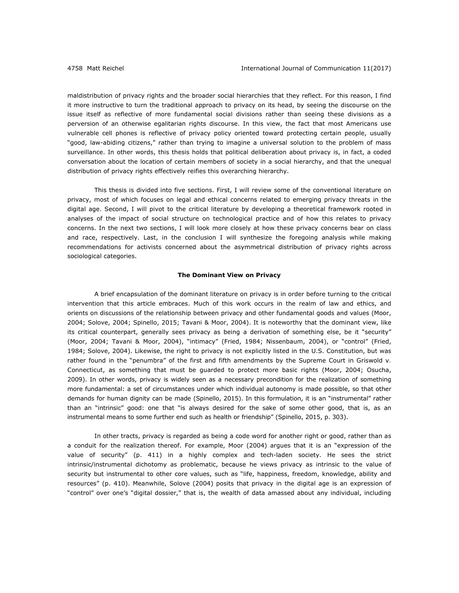maldistribution of privacy rights and the broader social hierarchies that they reflect. For this reason, I find it more instructive to turn the traditional approach to privacy on its head, by seeing the discourse on the issue itself as reflective of more fundamental social divisions rather than seeing these divisions as a perversion of an otherwise egalitarian rights discourse. In this view, the fact that most Americans use vulnerable cell phones is reflective of privacy policy oriented toward protecting certain people, usually "good, law-abiding citizens," rather than trying to imagine a universal solution to the problem of mass surveillance. In other words, this thesis holds that political deliberation about privacy is, in fact, a coded conversation about the location of certain members of society in a social hierarchy, and that the unequal distribution of privacy rights effectively reifies this overarching hierarchy.

This thesis is divided into five sections. First, I will review some of the conventional literature on privacy, most of which focuses on legal and ethical concerns related to emerging privacy threats in the digital age. Second, I will pivot to the critical literature by developing a theoretical framework rooted in analyses of the impact of social structure on technological practice and of how this relates to privacy concerns. In the next two sections, I will look more closely at how these privacy concerns bear on class and race, respectively. Last, in the conclusion I will synthesize the foregoing analysis while making recommendations for activists concerned about the asymmetrical distribution of privacy rights across sociological categories.

#### **The Dominant View on Privacy**

A brief encapsulation of the dominant literature on privacy is in order before turning to the critical intervention that this article embraces. Much of this work occurs in the realm of law and ethics, and orients on discussions of the relationship between privacy and other fundamental goods and values (Moor, 2004; Solove, 2004; Spinello, 2015; Tavani & Moor, 2004). It is noteworthy that the dominant view, like its critical counterpart, generally sees privacy as being a derivation of something else, be it "security" (Moor, 2004; Tavani & Moor, 2004), "intimacy" (Fried, 1984; Nissenbaum, 2004), or "control" (Fried, 1984; Solove, 2004). Likewise, the right to privacy is not explicitly listed in the U.S. Constitution, but was rather found in the "penumbra" of the first and fifth amendments by the Supreme Court in *Griswold v. Connecticut*, as something that must be guarded to protect more basic rights (Moor, 2004; Osucha, 2009). In other words, privacy is widely seen as a necessary precondition for the realization of something more fundamental: a set of circumstances under which individual autonomy is made possible, so that other demands for human dignity can be made (Spinello, 2015). In this formulation, it is an "instrumental" rather than an "intrinsic" good: one that "is always desired for the sake of some other good, that is, as an instrumental means to some further end such as health or friendship" (Spinello, 2015, p. 303).

In other tracts, privacy is regarded as being a code word for another right or good, rather than as a conduit for the realization thereof. For example, Moor (2004) argues that it is an "expression of the value of security" (p. 411) in a highly complex and tech-laden society. He sees the strict intrinsic/instrumental dichotomy as problematic, because he views privacy as intrinsic to the value of security but instrumental to other core values, such as "life, happiness, freedom, knowledge, ability and resources" (p. 410). Meanwhile, Solove (2004) posits that privacy in the digital age is an expression of "control" over one's "digital dossier," that is, the wealth of data amassed about any individual, including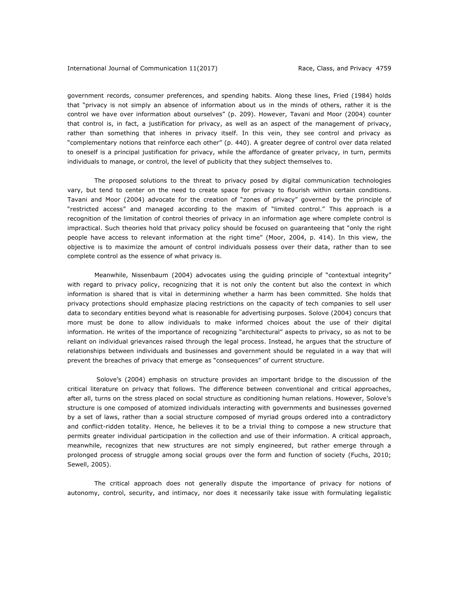government records, consumer preferences, and spending habits. Along these lines, Fried (1984) holds that "privacy is not simply an absence of information about us in the minds of others, rather it is the control we have over information about ourselves" (p. 209). However, Tavani and Moor (2004) counter that control is, in fact, a justification for privacy, as well as an aspect of the management of privacy, rather than something that inheres in privacy itself. In this vein, they see control and privacy as "complementary notions that reinforce each other" (p. 440). A greater degree of control over data related to oneself is a principal justification for privacy, while the affordance of greater privacy, in turn, permits individuals to manage, or control, the level of publicity that they subject themselves to.

The proposed solutions to the threat to privacy posed by digital communication technologies vary, but tend to center on the need to create space for privacy to flourish within certain conditions. Tavani and Moor (2004) advocate for the creation of "zones of privacy" governed by the principle of "restricted access" and managed according to the maxim of "limited control." This approach is a recognition of the limitation of control theories of privacy in an information age where complete control is impractical. Such theories hold that privacy policy should be focused on guaranteeing that "only the right people have access to relevant information at the right time" (Moor, 2004, p. 414). In this view, the objective is to maximize the amount of control individuals possess over their data, rather than to see complete control as the essence of what privacy is.

Meanwhile, Nissenbaum (2004) advocates using the guiding principle of "contextual integrity" with regard to privacy policy, recognizing that it is not only the content but also the context in which information is shared that is vital in determining whether a harm has been committed. She holds that privacy protections should emphasize placing restrictions on the capacity of tech companies to sell user data to secondary entities beyond what is reasonable for advertising purposes. Solove (2004) concurs that more must be done to allow individuals to make informed choices about the use of their digital information. He writes of the importance of recognizing "architectural" aspects to privacy, so as not to be reliant on individual grievances raised through the legal process. Instead, he argues that the structure of relationships between individuals and businesses and government should be regulated in a way that will prevent the breaches of privacy that emerge as "consequences" of current structure.

 Solove's (2004) emphasis on structure provides an important bridge to the discussion of the critical literature on privacy that follows. The difference between conventional and critical approaches, after all, turns on the stress placed on social structure as conditioning human relations. However, Solove's structure is one composed of atomized individuals interacting with governments and businesses governed by a set of laws, rather than a social structure composed of myriad groups ordered into a contradictory and conflict-ridden totality. Hence, he believes it to be a trivial thing to compose a new structure that permits greater individual participation in the collection and use of their information. A critical approach, meanwhile, recognizes that new structures are not simply engineered, but rather emerge through a prolonged process of struggle among social groups over the form and function of society (Fuchs, 2010; Sewell, 2005).

The critical approach does not generally dispute the importance of privacy for notions of autonomy, control, security, and intimacy, nor does it necessarily take issue with formulating legalistic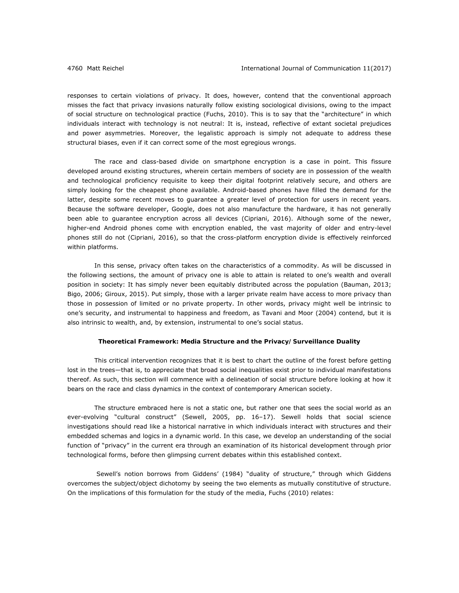responses to certain violations of privacy. It does, however, contend that the conventional approach misses the fact that privacy invasions naturally follow existing sociological divisions, owing to the impact of social structure on technological practice (Fuchs, 2010). This is to say that the "architecture" in which individuals interact with technology is not neutral: It is, instead, reflective of extant societal prejudices and power asymmetries. Moreover, the legalistic approach is simply not adequate to address these structural biases, even if it can correct some of the most egregious wrongs.

The race and class-based divide on smartphone encryption is a case in point. This fissure developed around existing structures, wherein certain members of society are in possession of the wealth and technological proficiency requisite to keep their digital footprint relatively secure, and others are simply looking for the cheapest phone available. Android-based phones have filled the demand for the latter, despite some recent moves to guarantee a greater level of protection for users in recent years. Because the software developer, Google, does not also manufacture the hardware, it has not generally been able to guarantee encryption across all devices (Cipriani, 2016). Although some of the newer, higher-end Android phones come with encryption enabled, the vast majority of older and entry-level phones still do not (Cipriani, 2016), so that the cross-platform encryption divide is effectively reinforced within platforms.

In this sense, privacy often takes on the characteristics of a commodity. As will be discussed in the following sections, the amount of privacy one is able to attain is related to one's wealth and overall position in society: It has simply never been equitably distributed across the population (Bauman, 2013; Bigo, 2006; Giroux, 2015). Put simply, those with a larger private realm have access to more privacy than those in possession of limited or no private property. In other words, privacy might well be intrinsic to one's security, and instrumental to happiness and freedom, as Tavani and Moor (2004) contend, but it is also intrinsic to wealth, and, by extension, instrumental to one's social status.

#### **Theoretical Framework: Media Structure and the Privacy/Surveillance Duality**

This critical intervention recognizes that it is best to chart the outline of the forest before getting lost in the trees-that is, to appreciate that broad social inequalities exist prior to individual manifestations thereof. As such, this section will commence with a delineation of social structure before looking at how it bears on the race and class dynamics in the context of contemporary American society.

The structure embraced here is not a static one, but rather one that sees the social world as an ever-evolving "cultural construct" (Sewell, 2005, pp. 16-17). Sewell holds that social science investigations should read like a historical narrative in which individuals interact with structures and their embedded schemas and logics in a dynamic world. In this case, we develop an understanding of the social function of "privacy" in the current era through an examination of its historical development through prior technological forms, before then glimpsing current debates within this established context.

 Sewell's notion borrows from Giddens' (1984) "duality of structure," through which Giddens overcomes the subject/object dichotomy by seeing the two elements as mutually constitutive of structure. On the implications of this formulation for the study of the media, Fuchs (2010) relates: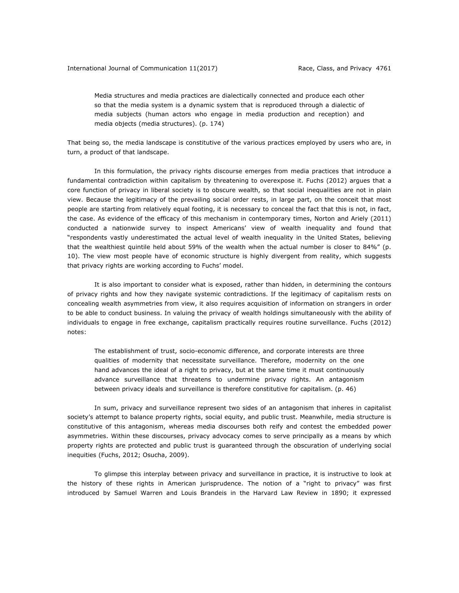Media structures and media practices are dialectically connected and produce each other so that the media system is a dynamic system that is reproduced through a dialectic of media subjects (human actors who engage in media production and reception) and media objects (media structures). (p. 174)

That being so, the media landscape is constitutive of the various practices employed by users who are, in turn, a product of that landscape.

In this formulation, the privacy rights discourse emerges from media practices that introduce a fundamental contradiction within capitalism by threatening to overexpose it. Fuchs (2012) argues that a core function of privacy in liberal society is to obscure wealth, so that social inequalities are not in plain view. Because the legitimacy of the prevailing social order rests, in large part, on the conceit that most people are starting from relatively equal footing, it is necessary to conceal the fact that this is not, in fact, the case. As evidence of the efficacy of this mechanism in contemporary times, Norton and Ariely (2011) conducted a nationwide survey to inspect Americans' view of wealth inequality and found that "respondents vastly underestimated the actual level of wealth inequality in the United States, believing that the wealthiest quintile held about 59% of the wealth when the actual number is closer to 84%" (p. 10). The view most people have of economic structure is highly divergent from reality, which suggests that privacy rights are working according to Fuchs' model.

It is also important to consider what is exposed, rather than hidden, in determining the contours of privacy rights and how they navigate systemic contradictions. If the legitimacy of capitalism rests on concealing wealth asymmetries from view, it also requires acquisition of information on strangers in order to be able to conduct business. In valuing the privacy of wealth holdings simultaneously with the ability of individuals to engage in free exchange, capitalism practically requires routine surveillance. Fuchs (2012) notes:

The establishment of trust, socio-economic difference, and corporate interests are three qualities of modernity that necessitate surveillance. Therefore, modernity on the one hand advances the ideal of a right to privacy, but at the same time it must continuously advance surveillance that threatens to undermine privacy rights. An antagonism between privacy ideals and surveillance is therefore constitutive for capitalism. (p. 46)

In sum, privacy and surveillance represent two sides of an antagonism that inheres in capitalist society's attempt to balance property rights, social equity, and public trust. Meanwhile, media structure is constitutive of this antagonism, whereas media discourses both reify and contest the embedded power asymmetries. Within these discourses, privacy advocacy comes to serve principally as a means by which property rights are protected and public trust is guaranteed through the obscuration of underlying social inequities (Fuchs, 2012; Osucha, 2009).

To glimpse this interplay between privacy and surveillance in practice, it is instructive to look at the history of these rights in American jurisprudence. The notion of a "right to privacy" was first introduced by Samuel Warren and Louis Brandeis in the *Harvard Law Review* in 1890; it expressed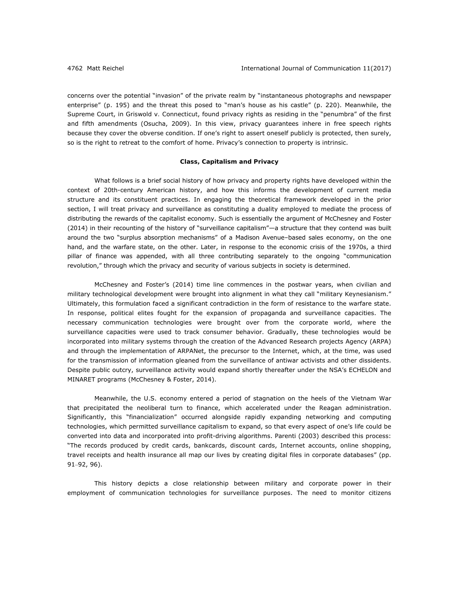concerns over the potential "invasion" of the private realm by "instantaneous photographs and newspaper enterprise" (p. 195) and the threat this posed to "man's house as his castle" (p. 220). Meanwhile, the Supreme Court, in *Griswold v. Connecticut*, found privacy rights as residing in the "penumbra" of the first and fifth amendments (Osucha, 2009). In this view, privacy guarantees inhere in free speech rights because they cover the obverse condition. If one's right to assert oneself publicly is protected, then surely, so is the right to retreat to the comfort of home. Privacy's connection to property is intrinsic.

# **Class, Capitalism and Privacy**

What follows is a brief social history of how privacy and property rights have developed within the context of 20th-century American history, and how this informs the development of current media structure and its constituent practices. In engaging the theoretical framework developed in the prior section, I will treat privacy and surveillance as constituting a duality employed to mediate the process of distributing the rewards of the capitalist economy. Such is essentially the argument of McChesney and Foster (2014) in their recounting of the history of "surveillance capitalism"—a structure that they contend was built around the two "surplus absorption mechanisms" of a Madison Avenue–based sales economy, on the one hand, and the warfare state, on the other. Later, in response to the economic crisis of the 1970s, a third pillar of finance was appended, with all three contributing separately to the ongoing "communication revolution," through which the privacy and security of various subjects in society is determined.

McChesney and Foster's (2014) time line commences in the postwar years, when civilian and military technological development were brought into alignment in what they call "military Keynesianism." Ultimately, this formulation faced a significant contradiction in the form of resistance to the warfare state. In response, political elites fought for the expansion of propaganda and surveillance capacities. The necessary communication technologies were brought over from the corporate world, where the surveillance capacities were used to track consumer behavior. Gradually, these technologies would be incorporated into military systems through the creation of the Advanced Research projects Agency (ARPA) and through the implementation of ARPANet, the precursor to the Internet, which, at the time, was used for the transmission of information gleaned from the surveillance of antiwar activists and other dissidents. Despite public outcry, surveillance activity would expand shortly thereafter under the NSA's ECHELON and MINARET programs (McChesney & Foster, 2014).

Meanwhile, the U.S. economy entered a period of stagnation on the heels of the Vietnam War that precipitated the neoliberal turn to finance, which accelerated under the Reagan administration. Significantly, this "financialization" occurred alongside rapidly expanding networking and computing technologies, which permitted surveillance capitalism to expand, so that every aspect of one's life could be converted into data and incorporated into profit-driving algorithms. Parenti (2003) described this process: "The records produced by credit cards, bankcards, discount cards, Internet accounts, online shopping, travel receipts and health insurance all map our lives by creating digital files in corporate databases" (pp. 91‒92, 96).

This history depicts a close relationship between military and corporate power in their employment of communication technologies for surveillance purposes. The need to monitor citizens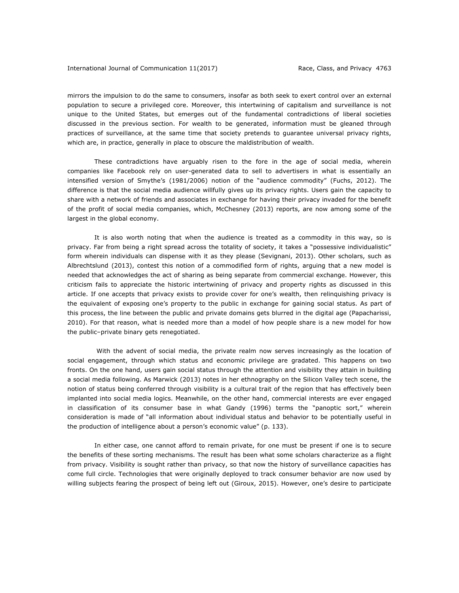mirrors the impulsion to do the same to consumers, insofar as both seek to exert control over an external population to secure a privileged core. Moreover, this intertwining of capitalism and surveillance is not unique to the United States, but emerges out of the fundamental contradictions of liberal societies discussed in the previous section. For wealth to be generated, information must be gleaned through practices of surveillance, at the same time that society pretends to guarantee universal privacy rights, which are, in practice, generally in place to obscure the maldistribution of wealth.

These contradictions have arguably risen to the fore in the age of social media, wherein companies like Facebook rely on user-generated data to sell to advertisers in what is essentially an intensified version of Smythe's (1981/2006) notion of the "audience commodity" (Fuchs, 2012). The difference is that the social media audience willfully gives up its privacy rights. Users gain the capacity to share with a network of friends and associates in exchange for having their privacy invaded for the benefit of the profit of social media companies, which, McChesney (2013) reports, are now among some of the largest in the global economy.

It is also worth noting that when the audience is treated as a commodity in this way, so is privacy. Far from being a right spread across the totality of society, it takes a "possessive individualistic" form wherein individuals can dispense with it as they please (Sevignani, 2013). Other scholars, such as Albrechtslund (2013), contest this notion of a commodified form of rights, arguing that a new model is needed that acknowledges the act of sharing as being separate from commercial exchange. However, this criticism fails to appreciate the historic intertwining of privacy and property rights as discussed in this article. If one accepts that privacy exists to provide cover for one's wealth, then relinquishing privacy is the equivalent of exposing one's property to the public in exchange for gaining social status. As part of this process, the line between the public and private domains gets blurred in the digital age (Papacharissi, 2010). For that reason, what is needed more than a model of how people share is a new model for how the public–private binary gets renegotiated.

 With the advent of social media, the private realm now serves increasingly as the location of social engagement, through which status and economic privilege are gradated. This happens on two fronts. On the one hand, users gain social status through the attention and visibility they attain in building a social media following. As Marwick (2013) notes in her ethnography on the Silicon Valley tech scene, the notion of status being conferred through visibility is a cultural trait of the region that has effectively been implanted into social media logics. Meanwhile, on the other hand, commercial interests are ever engaged in classification of its consumer base in what Gandy (1996) terms the "panoptic sort," wherein consideration is made of "all information about individual status and behavior to be potentially useful in the production of intelligence about a person's economic value" (p. 133).

In either case, one cannot afford to remain private, for one must be present if one is to secure the benefits of these sorting mechanisms. The result has been what some scholars characterize as a flight from privacy. Visibility is sought rather than privacy, so that now the history of surveillance capacities has come full circle. Technologies that were originally deployed to track consumer behavior are now used by willing subjects fearing the prospect of being left out (Giroux, 2015). However, one's desire to participate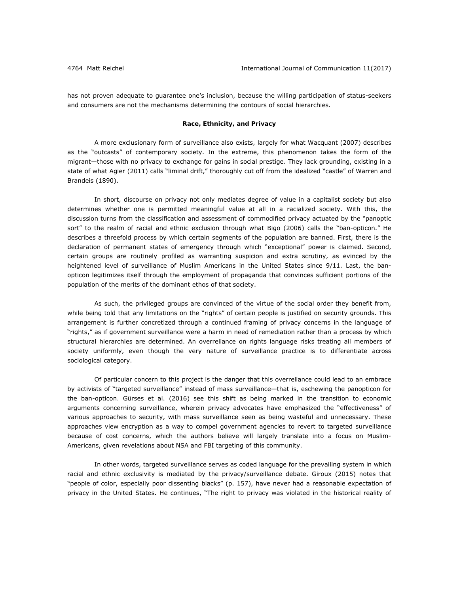has not proven adequate to guarantee one's inclusion, because the willing participation of status-seekers and consumers are not the mechanisms determining the contours of social hierarchies.

# **Race, Ethnicity, and Privacy**

A more exclusionary form of surveillance also exists, largely for what Wacquant (2007) describes as the "outcasts" of contemporary society. In the extreme, this phenomenon takes the form of the migrant—those with no privacy to exchange for gains in social prestige. They lack grounding, existing in a state of what Agier (2011) calls "liminal drift," thoroughly cut off from the idealized "castle" of Warren and Brandeis (1890).

In short, discourse on privacy not only mediates degree of value in a capitalist society but also determines whether one is permitted meaningful value at all in a racialized society. With this, the discussion turns from the classification and assessment of commodified privacy actuated by the "panoptic sort" to the realm of racial and ethnic exclusion through what Bigo (2006) calls the "ban-opticon." He describes a threefold process by which certain segments of the population are banned. First, there is the declaration of permanent states of emergency through which "exceptional" power is claimed. Second, certain groups are routinely profiled as warranting suspicion and extra scrutiny, as evinced by the heightened level of surveillance of Muslim Americans in the United States since 9/11. Last, the banopticon legitimizes itself through the employment of propaganda that convinces sufficient portions of the population of the merits of the dominant ethos of that society.

As such, the privileged groups are convinced of the virtue of the social order they benefit from, while being told that any limitations on the "rights" of certain people is justified on security grounds. This arrangement is further concretized through a continued framing of privacy concerns in the language of "rights," as if government surveillance were a harm in need of remediation rather than a process by which structural hierarchies are determined. An overreliance on rights language risks treating all members of society uniformly, even though the very nature of surveillance practice is to differentiate across sociological category.

Of particular concern to this project is the danger that this overreliance could lead to an embrace by activists of "targeted surveillance" instead of mass surveillance—that is, eschewing the panopticon for the ban-opticon. Gürses et al. (2016) see this shift as being marked in the transition to economic arguments concerning surveillance, wherein privacy advocates have emphasized the "effectiveness" of various approaches to security, with mass surveillance seen as being wasteful and unnecessary. These approaches view encryption as a way to compel government agencies to revert to targeted surveillance because of cost concerns, which the authors believe will largely translate into a focus on Muslim-Americans, given revelations about NSA and FBI targeting of this community.

In other words, *targeted surveillance* serves as coded language for the prevailing system in which racial and ethnic exclusivity is mediated by the privacy/surveillance debate. Giroux (2015) notes that "people of color, especially poor dissenting blacks" (p. 157), have never had a reasonable expectation of privacy in the United States. He continues, "The right to privacy was violated in the historical reality of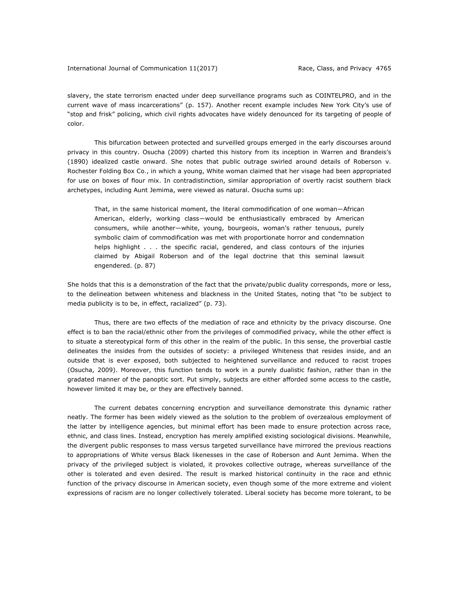slavery, the state terrorism enacted under deep surveillance programs such as COINTELPRO, and in the current wave of mass incarcerations" (p. 157). Another recent example includes New York City's use of "stop and frisk" policing, which civil rights advocates have widely denounced for its targeting of people of color.

This bifurcation between protected and surveilled groups emerged in the early discourses around privacy in this country. Osucha (2009) charted this history from its inception in Warren and Brandeis's (1890) idealized castle onward. She notes that public outrage swirled around details of *Roberson v. Rochester Folding Box Co.*, in which a young, White woman claimed that her visage had been appropriated for use on boxes of flour mix. In contradistinction, similar appropriation of overtly racist southern black archetypes, including Aunt Jemima, were viewed as natural. Osucha sums up:

That, in the same historical moment, the literal commodification of one woman―African American, elderly, working class―would be enthusiastically embraced by American consumers, while another―white, young, bourgeois, woman's rather tenuous, purely symbolic claim of commodification was met with proportionate horror and condemnation helps highlight . . . the specific racial, gendered, and class contours of the injuries claimed by Abigail Roberson and of the legal doctrine that this seminal lawsuit engendered. (p. 87)

She holds that this is a demonstration of the fact that the private/public duality corresponds, more or less, to the delineation between whiteness and blackness in the United States, noting that "to be subject to media publicity is to be, in effect, racialized" (p. 73).

Thus, there are two effects of the mediation of race and ethnicity by the privacy discourse. One effect is to ban the racial/ethnic other from the privileges of commodified privacy, while the other effect is to situate a stereotypical form of this other in the realm of the public. In this sense, the proverbial castle delineates the insides from the outsides of society: a privileged Whiteness that resides inside, and an outside that is ever exposed, both subjected to heightened surveillance and reduced to racist tropes (Osucha, 2009). Moreover, this function tends to work in a purely dualistic fashion, rather than in the gradated manner of the panoptic sort. Put simply, subjects are either afforded some access to the castle, however limited it may be, or they are effectively banned.

The current debates concerning encryption and surveillance demonstrate this dynamic rather neatly. The former has been widely viewed as the solution to the problem of overzealous employment of the latter by intelligence agencies, but minimal effort has been made to ensure protection across race, ethnic, and class lines. Instead, encryption has merely amplified existing sociological divisions. Meanwhile, the divergent public responses to mass versus targeted surveillance have mirrored the previous reactions to appropriations of White versus Black likenesses in the case of Roberson and Aunt Jemima. When the privacy of the privileged subject is violated, it provokes collective outrage, whereas surveillance of the other is tolerated and even desired. The result is marked historical continuity in the race and ethnic function of the privacy discourse in American society, even though some of the more extreme and violent expressions of racism are no longer collectively tolerated. Liberal society has become more tolerant, to be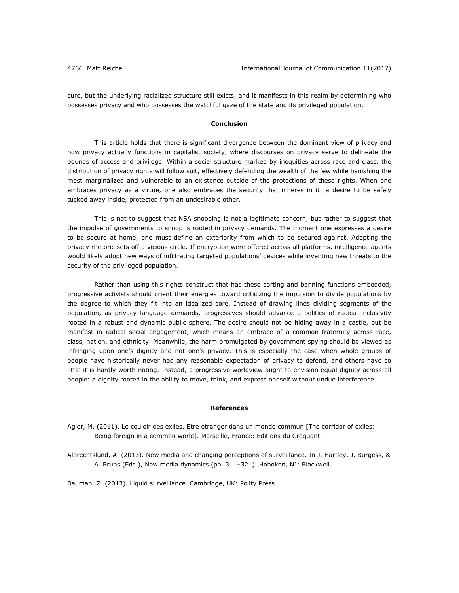sure, but the underlying racialized structure still exists, and it manifests in this realm by determining who possesses privacy and who possesses the watchful gaze of the state and its privileged population.

# **Conclusion**

This article holds that there is significant divergence between the dominant view of privacy and how privacy actually functions in capitalist society, where discourses on privacy serve to delineate the bounds of access and privilege. Within a social structure marked by inequities across race and class, the distribution of privacy rights will follow suit, effectively defending the wealth of the few while banishing the most marginalized and vulnerable to an existence outside of the protections of these rights. When one embraces privacy as a virtue, one also embraces the security that inheres in it: a desire to be safely tucked away inside, protected from an undesirable other.

This is not to suggest that NSA snooping is not a legitimate concern, but rather to suggest that the impulse of governments to snoop is rooted in privacy demands. The moment one expresses a desire to be secure at home, one must define an exteriority from which to be secured against. Adopting the privacy rhetoric sets off a vicious circle. If encryption were offered across all platforms, intelligence agents would likely adopt new ways of infiltrating targeted populations' devices while inventing new threats to the security of the privileged population.

Rather than using this rights construct that has these sorting and banning functions embedded, progressive activists should orient their energies toward criticizing the impulsion to divide populations by the degree to which they fit into an idealized core. Instead of drawing lines dividing segments of the population, as privacy language demands, progressives should advance a politics of radical inclusivity rooted in a robust and dynamic public sphere. The desire should not be hiding away in a castle, but be manifest in radical social engagement, which means an embrace of a common fraternity across race, class, nation, and ethnicity. Meanwhile, the harm promulgated by government spying should be viewed as infringing upon one's dignity and not one's privacy. This is especially the case when whole groups of people have historically never had any reasonable expectation of privacy to defend, and others have so little it is hardly worth noting. Instead, a progressive worldview ought to envision equal dignity across all people: a dignity rooted in the ability to move, think, and express oneself without undue interference.

#### **References**

Agier, M. (2011). *Le couloir des exiles. Etre etranger dans un monde commun* [The corridor of exiles: Being foreign in a common world]*.* Marseille, France: Editions du Croquant.

Albrechtslund, A. (2013). New media and changing perceptions of surveillance. In J. Hartley, J. Burgess, & A. Bruns (Eds.), *New media dynamics* (pp. 311–321). Hoboken, NJ: Blackwell.

Bauman, Z. (2013). *Liquid surveillance*. Cambridge, UK: Polity Press.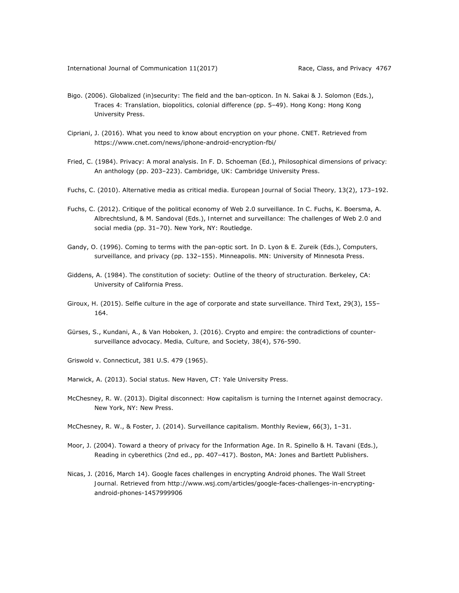- Bigo. (2006). Globalized (in)security: The field and the ban-opticon. In N. Sakai & J. Solomon (Eds.), *Traces 4: Translation, biopolitics, colonial difference* (pp. 5‒49). Hong Kong: Hong Kong University Press.
- Cipriani, J. (2016). What you need to know about encryption on your phone. *CNET*. Retrieved from https://www.cnet.com/news/iphone-android-encryption-fbi/
- Fried, C. (1984). Privacy: A moral analysis. In F. D. Schoeman (Ed.), *Philosophical dimensions of privacy:*  An anthology (pp. 203-223). Cambridge, UK: Cambridge University Press.
- Fuchs, C. (2010). Alternative media as critical media. *European Journal of Social Theory, 13*(2), 173–192.
- Fuchs, C. (2012). Critique of the political economy of Web 2.0 surveillance. In C. Fuchs, K. Boersma, A. Albrechtslund, & M. Sandoval (Eds.), *Internet and surveillance: The challenges of Web 2.0 and social media* (pp. 31–70). New York, NY: Routledge.
- Gandy, O. (1996). Coming to terms with the pan-optic sort. In D. Lyon & E. Zureik (Eds.), *Computers, surveillance, and privacy* (pp. 132‒155*)*. Minneapolis. MN: University of Minnesota Press.
- Giddens, A. (1984). *The constitution of society: Outline of the theory of structuration.* Berkeley, CA: University of California Press.
- Giroux, H. (2015). Selfie culture in the age of corporate and state surveillance. *Third Text*, *29*(3), 155– 164.
- Gürses, S., Kundani, A., & Van Hoboken, J. (2016). Crypto and empire: the contradictions of countersurveillance advocacy. *Media, Culture, and Society,* 38(4), 576-590.
- Griswold v. Connecticut, 381 U.S. 479 (1965).
- Marwick, A. (2013). *Social status*. New Haven, CT: Yale University Press.
- McChesney, R. W. (2013). *Digital disconnect: How capitalism is turning the Internet against democracy*. New York, NY: New Press.
- McChesney, R. W., & Foster, J. (2014). Surveillance capitalism. *Monthly Review*, *66*(3), 1–31.
- Moor, J. (2004). Toward a theory of privacy for the Information Age. In R. Spinello & H. Tavani (Eds.), *Reading in cyberethics* (2nd ed., pp. 407–417). Boston, MA: Jones and Bartlett Publishers.
- Nicas, J. (2016, March 14). Google faces challenges in encrypting Android phones. *The Wall Street Journal.* Retrieved from http://www.wsj.com/articles/google-faces-challenges-in-encryptingandroid-phones-1457999906